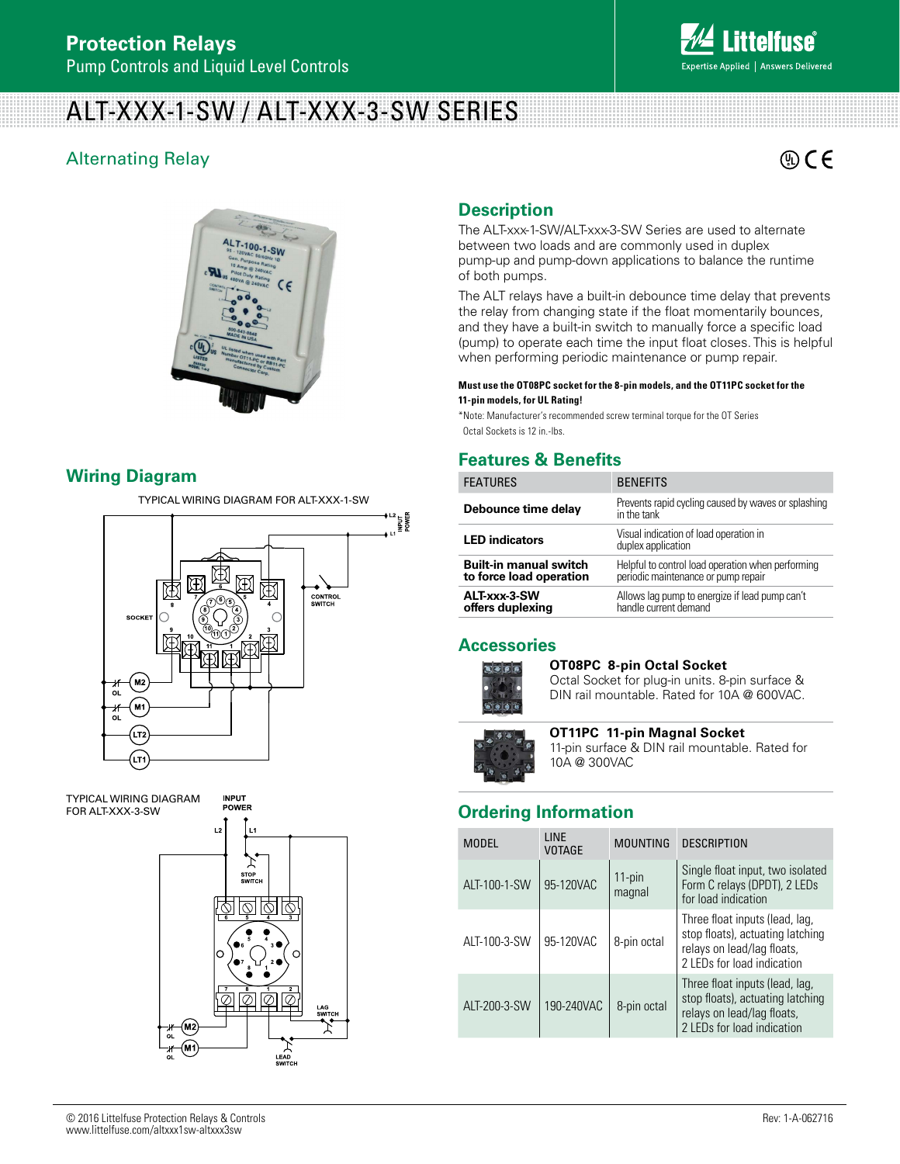# ALT-XXX-1-SW / ALT-XXX-3-SW SERIES

## Alternating Relay



**Answers Delivered** 



## **Wiring Diagram**

TYPICAL WIRING DIAGRAM FOR ALT-XXX-1-SW



**INPUT** 

TYPICAL WIRING DIAGRAM<br>FOR ALT-XXX-3-SW



## **Description**

The ALT-xxx-1-SW/ALT-xxx-3-SW Series are used to alternate between two loads and are commonly used in duplex pump-up and pump-down applications to balance the runtime of both pumps.

The ALT relays have a built-in debounce time delay that prevents the relay from changing state if the float momentarily bounces, and they have a built-in switch to manually force a specific load (pump) to operate each time the input float closes. This is helpful when performing periodic maintenance or pump repair.

#### **Must use the OT08PC socket for the 8-pin models, and the OT11PC socket for the 11-pin models, for UL Rating!**

\*Note: Manufacturer's recommended screw terminal torque for the OT Series Octal Sockets is 12 in.-lbs.

## **Features & Benefits**

| <b>FEATURES</b>                                          | <b>BENEFITS</b>                                                                          |  |
|----------------------------------------------------------|------------------------------------------------------------------------------------------|--|
| Debounce time delay                                      | Prevents rapid cycling caused by waves or splashing<br>in the tank                       |  |
| <b>LED</b> indicators                                    | Visual indication of load operation in<br>duplex application                             |  |
| <b>Built-in manual switch</b><br>to force load operation | Helpful to control load operation when performing<br>periodic maintenance or pump repair |  |
| ALT-xxx-3-SW<br>offers duplexing                         | Allows lag pump to energize if lead pump can't<br>handle current demand                  |  |

### **Accessories**



#### **OT08PC 8-pin Octal Socket**

Octal Socket for plug-in units. 8-pin surface & DIN rail mountable. Rated for 10A @ 600VAC.



## **OT11PC 11-pin Magnal Socket**

11-pin surface & DIN rail mountable. Rated for 10A @ 300VAC

## FORER **FOREALT-XX-3** CONSTRUCTED DETAILS **Ordering Information**

| <b>MODEL</b> | <b>I INF</b><br><b>VOTAGE</b> | <b>MOUNTING</b>     | <b>DESCRIPTION</b>                                                                                                             |
|--------------|-------------------------------|---------------------|--------------------------------------------------------------------------------------------------------------------------------|
| ALT-100-1-SW | 95-120VAC                     | $11$ -pin<br>magnal | Single float input, two isolated<br>Form C relays (DPDT), 2 LEDs<br>for load indication                                        |
| ALT-100-3-SW | 95-120VAC                     | 8-pin octal         | Three float inputs (lead, lag,<br>stop floats), actuating latching<br>relays on lead/lag floats,<br>2 LEDs for load indication |
| ALT-200-3-SW | 190-240VAC                    | 8-pin octal         | Three float inputs (lead, lag,<br>stop floats), actuating latching<br>relays on lead/lag floats,<br>2 LEDs for load indication |